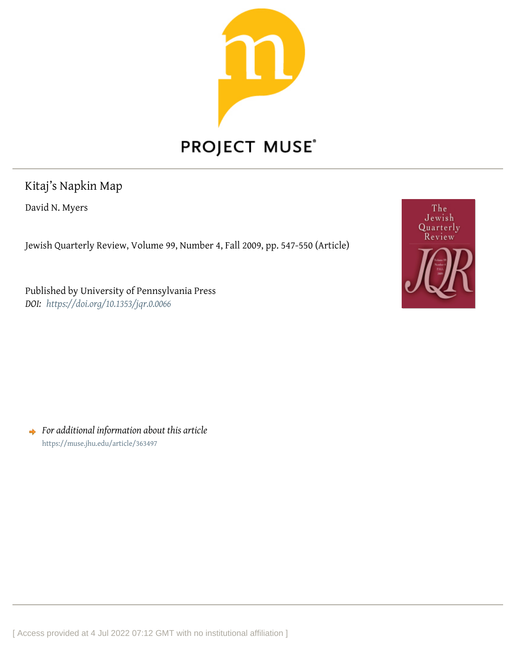

David N. Myers

Kitaj's Napkin Map

Jewish Quarterly Review, Volume 99, Number 4, Fall 2009, pp. 547-550 (Article)

Published by University of Pennsylvania Press *DOI: <https://doi.org/10.1353/jqr.0.0066>*



*For additional information about this article* <https://muse.jhu.edu/article/363497>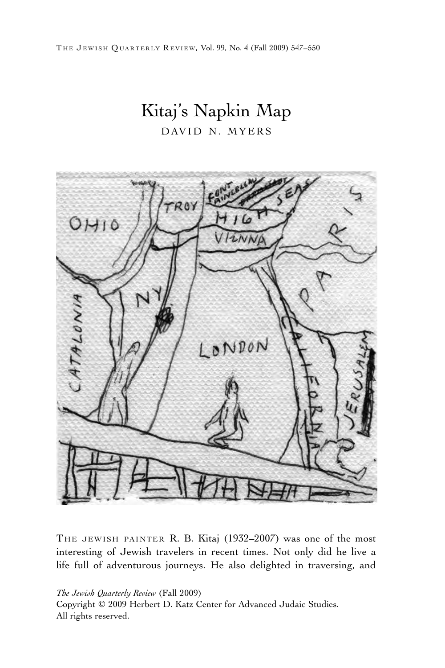THE JEWISH QUARTERLY REVIEW, Vol. 99, No. 4 (Fall 2009) 547-550

## Kitaj's Napkin Map DAVID N. MYERS



THE JEWISH PAINTER R. B. Kitaj (1932–2007) was one of the most interesting of Jewish travelers in recent times. Not only did he live a life full of adventurous journeys. He also delighted in traversing, and

*The Jewish Quarterly Review* (Fall 2009) Copyright © 2009 Herbert D. Katz Center for Advanced Judaic Studies. All rights reserved.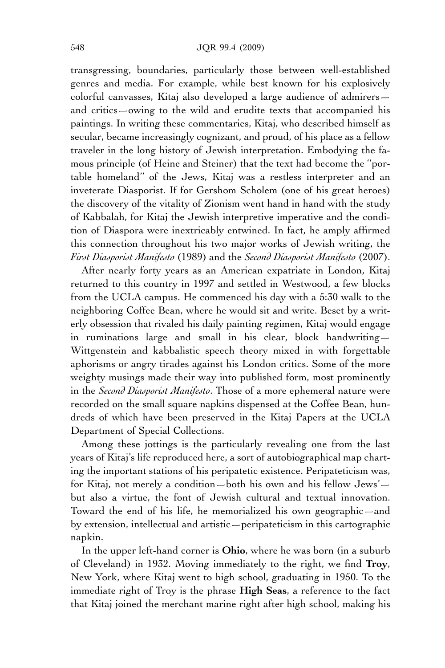transgressing, boundaries, particularly those between well-established genres and media. For example, while best known for his explosively colorful canvasses, Kitaj also developed a large audience of admirers and critics—owing to the wild and erudite texts that accompanied his paintings. In writing these commentaries, Kitaj, who described himself as secular, became increasingly cognizant, and proud, of his place as a fellow traveler in the long history of Jewish interpretation. Embodying the famous principle (of Heine and Steiner) that the text had become the ''portable homeland'' of the Jews, Kitaj was a restless interpreter and an inveterate Diasporist. If for Gershom Scholem (one of his great heroes) the discovery of the vitality of Zionism went hand in hand with the study of Kabbalah, for Kitaj the Jewish interpretive imperative and the condition of Diaspora were inextricably entwined. In fact, he amply affirmed this connection throughout his two major works of Jewish writing, the *First Diasporist Manifesto* (1989) and the *Second Diasporist Manifesto* (2007).

After nearly forty years as an American expatriate in London, Kitaj returned to this country in 1997 and settled in Westwood, a few blocks from the UCLA campus. He commenced his day with a 5:30 walk to the neighboring Coffee Bean, where he would sit and write. Beset by a writerly obsession that rivaled his daily painting regimen, Kitaj would engage in ruminations large and small in his clear, block handwriting— Wittgenstein and kabbalistic speech theory mixed in with forgettable aphorisms or angry tirades against his London critics. Some of the more weighty musings made their way into published form, most prominently in the *Second Diasporist Manifesto*. Those of a more ephemeral nature were recorded on the small square napkins dispensed at the Coffee Bean, hundreds of which have been preserved in the Kitaj Papers at the UCLA Department of Special Collections.

Among these jottings is the particularly revealing one from the last years of Kitaj's life reproduced here, a sort of autobiographical map charting the important stations of his peripatetic existence. Peripateticism was, for Kitaj, not merely a condition—both his own and his fellow Jews' but also a virtue, the font of Jewish cultural and textual innovation. Toward the end of his life, he memorialized his own geographic—and by extension, intellectual and artistic—peripateticism in this cartographic napkin.

In the upper left-hand corner is **Ohio**, where he was born (in a suburb of Cleveland) in 1932. Moving immediately to the right, we find **Troy**, New York, where Kitaj went to high school, graduating in 1950. To the immediate right of Troy is the phrase **High Seas**, a reference to the fact that Kitaj joined the merchant marine right after high school, making his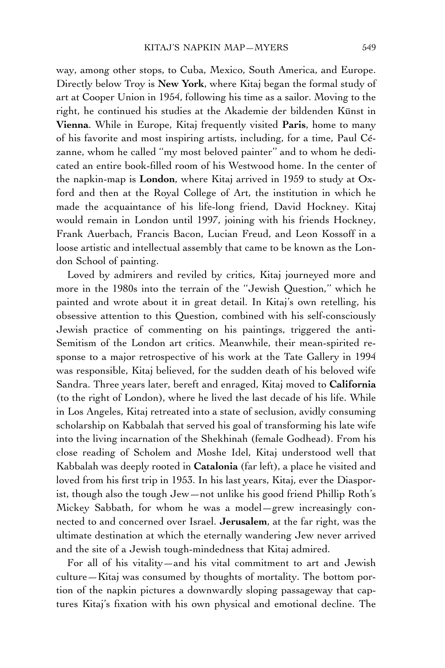way, among other stops, to Cuba, Mexico, South America, and Europe. Directly below Troy is **New York**, where Kitaj began the formal study of art at Cooper Union in 1954, following his time as a sailor. Moving to the right, he continued his studies at the Akademie der bildenden Künst in **Vienna**. While in Europe, Kitaj frequently visited **Paris**, home to many of his favorite and most inspiring artists, including, for a time, Paul Cézanne, whom he called ''my most beloved painter'' and to whom he dedicated an entire book-filled room of his Westwood home. In the center of the napkin-map is **London**, where Kitaj arrived in 1959 to study at Oxford and then at the Royal College of Art, the institution in which he made the acquaintance of his life-long friend, David Hockney. Kitaj would remain in London until 1997, joining with his friends Hockney, Frank Auerbach, Francis Bacon, Lucian Freud, and Leon Kossoff in a loose artistic and intellectual assembly that came to be known as the London School of painting.

Loved by admirers and reviled by critics, Kitaj journeyed more and more in the 1980s into the terrain of the ''Jewish Question,'' which he painted and wrote about it in great detail. In Kitaj's own retelling, his obsessive attention to this Question, combined with his self-consciously Jewish practice of commenting on his paintings, triggered the anti-Semitism of the London art critics. Meanwhile, their mean-spirited response to a major retrospective of his work at the Tate Gallery in 1994 was responsible, Kitaj believed, for the sudden death of his beloved wife Sandra. Three years later, bereft and enraged, Kitaj moved to **California** (to the right of London), where he lived the last decade of his life. While in Los Angeles, Kitaj retreated into a state of seclusion, avidly consuming scholarship on Kabbalah that served his goal of transforming his late wife into the living incarnation of the Shekhinah (female Godhead). From his close reading of Scholem and Moshe Idel, Kitaj understood well that Kabbalah was deeply rooted in **Catalonia** (far left), a place he visited and loved from his first trip in 1953. In his last years, Kitaj, ever the Diasporist, though also the tough Jew—not unlike his good friend Phillip Roth's Mickey Sabbath, for whom he was a model—grew increasingly connected to and concerned over Israel. **Jerusalem**, at the far right, was the ultimate destination at which the eternally wandering Jew never arrived and the site of a Jewish tough-mindedness that Kitaj admired.

For all of his vitality—and his vital commitment to art and Jewish culture—Kitaj was consumed by thoughts of mortality. The bottom portion of the napkin pictures a downwardly sloping passageway that captures Kitaj's fixation with his own physical and emotional decline. The